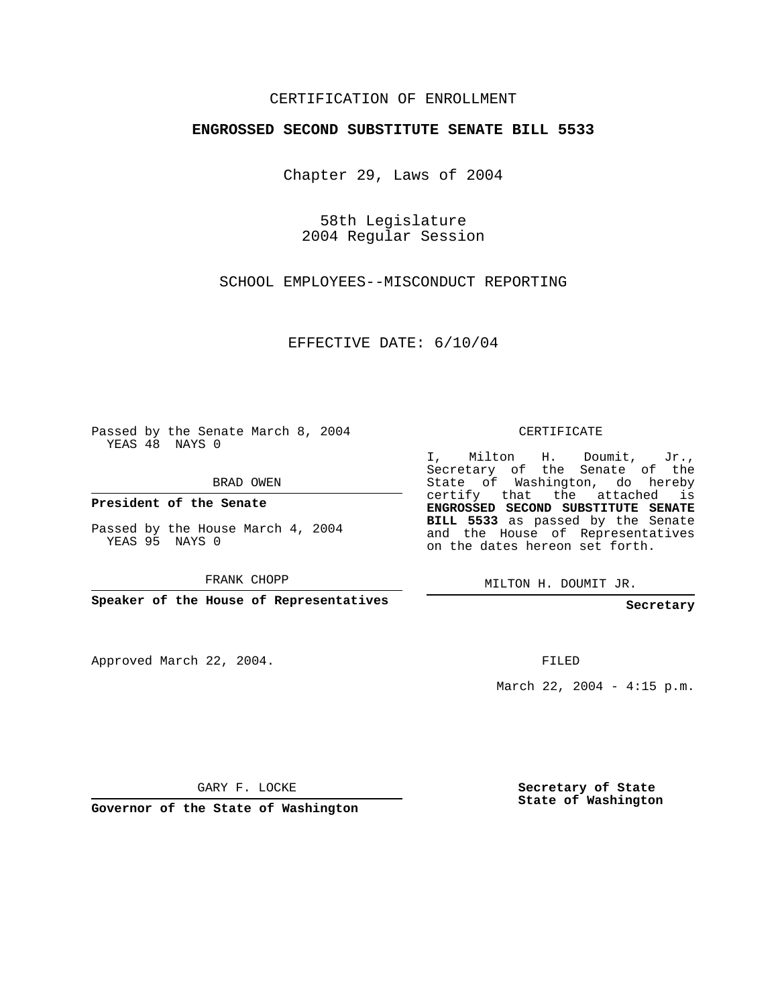## CERTIFICATION OF ENROLLMENT

## **ENGROSSED SECOND SUBSTITUTE SENATE BILL 5533**

Chapter 29, Laws of 2004

58th Legislature 2004 Regular Session

SCHOOL EMPLOYEES--MISCONDUCT REPORTING

EFFECTIVE DATE: 6/10/04

Passed by the Senate March 8, 2004 YEAS 48 NAYS 0

BRAD OWEN

**President of the Senate**

Passed by the House March 4, 2004 YEAS 95 NAYS 0

FRANK CHOPP

**Speaker of the House of Representatives**

Approved March 22, 2004.

CERTIFICATE

I, Milton H. Doumit, Jr., Secretary of the Senate of the State of Washington, do hereby certify that the attached is **ENGROSSED SECOND SUBSTITUTE SENATE BILL 5533** as passed by the Senate and the House of Representatives on the dates hereon set forth.

MILTON H. DOUMIT JR.

**Secretary**

FILED

March 22, 2004 - 4:15 p.m.

GARY F. LOCKE

**Governor of the State of Washington**

**Secretary of State State of Washington**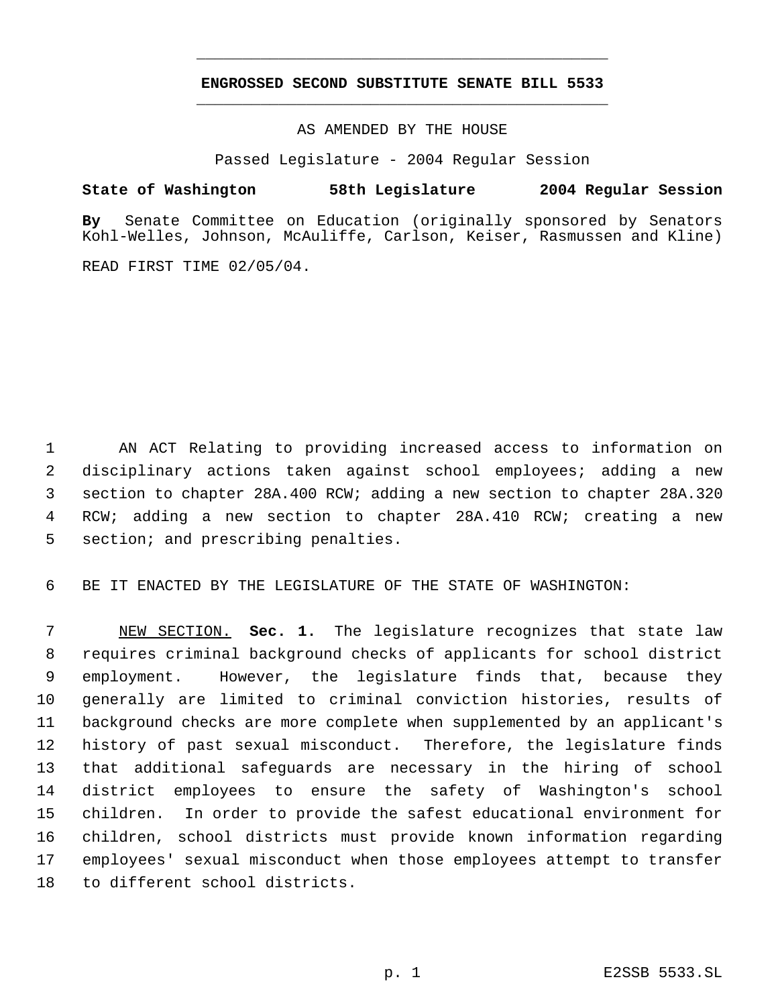## **ENGROSSED SECOND SUBSTITUTE SENATE BILL 5533** \_\_\_\_\_\_\_\_\_\_\_\_\_\_\_\_\_\_\_\_\_\_\_\_\_\_\_\_\_\_\_\_\_\_\_\_\_\_\_\_\_\_\_\_\_

\_\_\_\_\_\_\_\_\_\_\_\_\_\_\_\_\_\_\_\_\_\_\_\_\_\_\_\_\_\_\_\_\_\_\_\_\_\_\_\_\_\_\_\_\_

AS AMENDED BY THE HOUSE

Passed Legislature - 2004 Regular Session

## **State of Washington 58th Legislature 2004 Regular Session**

**By** Senate Committee on Education (originally sponsored by Senators Kohl-Welles, Johnson, McAuliffe, Carlson, Keiser, Rasmussen and Kline)

READ FIRST TIME 02/05/04.

 AN ACT Relating to providing increased access to information on disciplinary actions taken against school employees; adding a new section to chapter 28A.400 RCW; adding a new section to chapter 28A.320 RCW; adding a new section to chapter 28A.410 RCW; creating a new 5 section; and prescribing penalties.

BE IT ENACTED BY THE LEGISLATURE OF THE STATE OF WASHINGTON:

 NEW SECTION. **Sec. 1.** The legislature recognizes that state law requires criminal background checks of applicants for school district employment. However, the legislature finds that, because they generally are limited to criminal conviction histories, results of background checks are more complete when supplemented by an applicant's history of past sexual misconduct. Therefore, the legislature finds that additional safeguards are necessary in the hiring of school district employees to ensure the safety of Washington's school children. In order to provide the safest educational environment for children, school districts must provide known information regarding employees' sexual misconduct when those employees attempt to transfer to different school districts.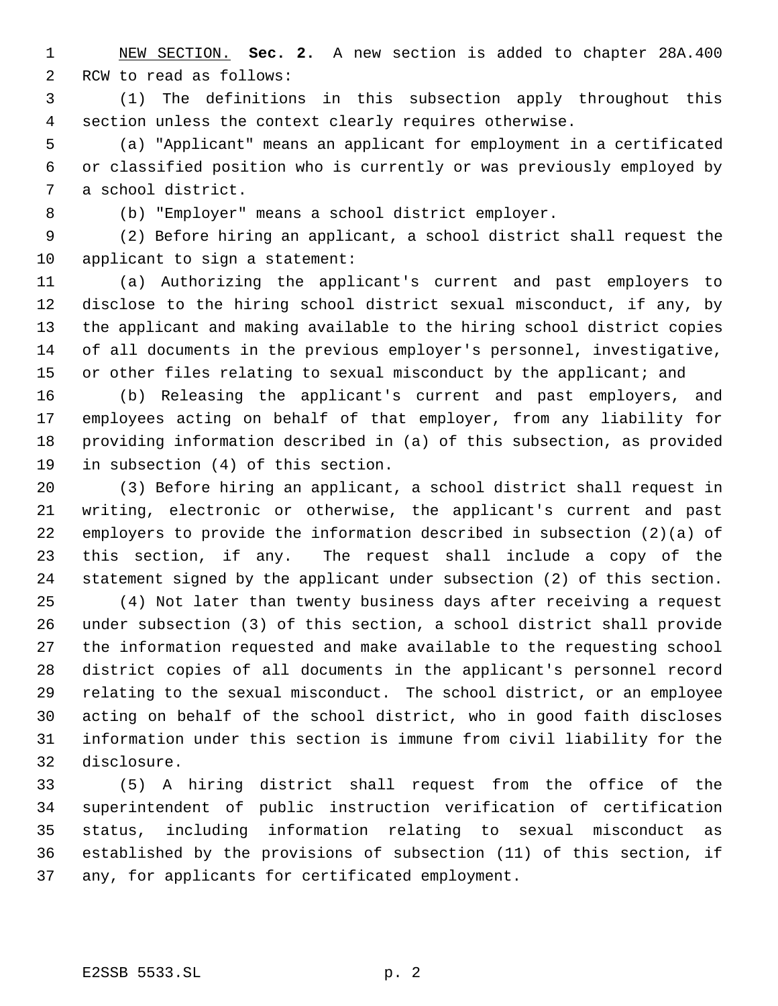NEW SECTION. **Sec. 2.** A new section is added to chapter 28A.400 RCW to read as follows:

 (1) The definitions in this subsection apply throughout this section unless the context clearly requires otherwise.

 (a) "Applicant" means an applicant for employment in a certificated or classified position who is currently or was previously employed by a school district.

(b) "Employer" means a school district employer.

 (2) Before hiring an applicant, a school district shall request the applicant to sign a statement:

 (a) Authorizing the applicant's current and past employers to disclose to the hiring school district sexual misconduct, if any, by the applicant and making available to the hiring school district copies of all documents in the previous employer's personnel, investigative, 15 or other files relating to sexual misconduct by the applicant; and

 (b) Releasing the applicant's current and past employers, and employees acting on behalf of that employer, from any liability for providing information described in (a) of this subsection, as provided in subsection (4) of this section.

 (3) Before hiring an applicant, a school district shall request in writing, electronic or otherwise, the applicant's current and past employers to provide the information described in subsection (2)(a) of this section, if any. The request shall include a copy of the statement signed by the applicant under subsection (2) of this section.

 (4) Not later than twenty business days after receiving a request under subsection (3) of this section, a school district shall provide the information requested and make available to the requesting school district copies of all documents in the applicant's personnel record relating to the sexual misconduct. The school district, or an employee acting on behalf of the school district, who in good faith discloses information under this section is immune from civil liability for the disclosure.

 (5) A hiring district shall request from the office of the superintendent of public instruction verification of certification status, including information relating to sexual misconduct as established by the provisions of subsection (11) of this section, if any, for applicants for certificated employment.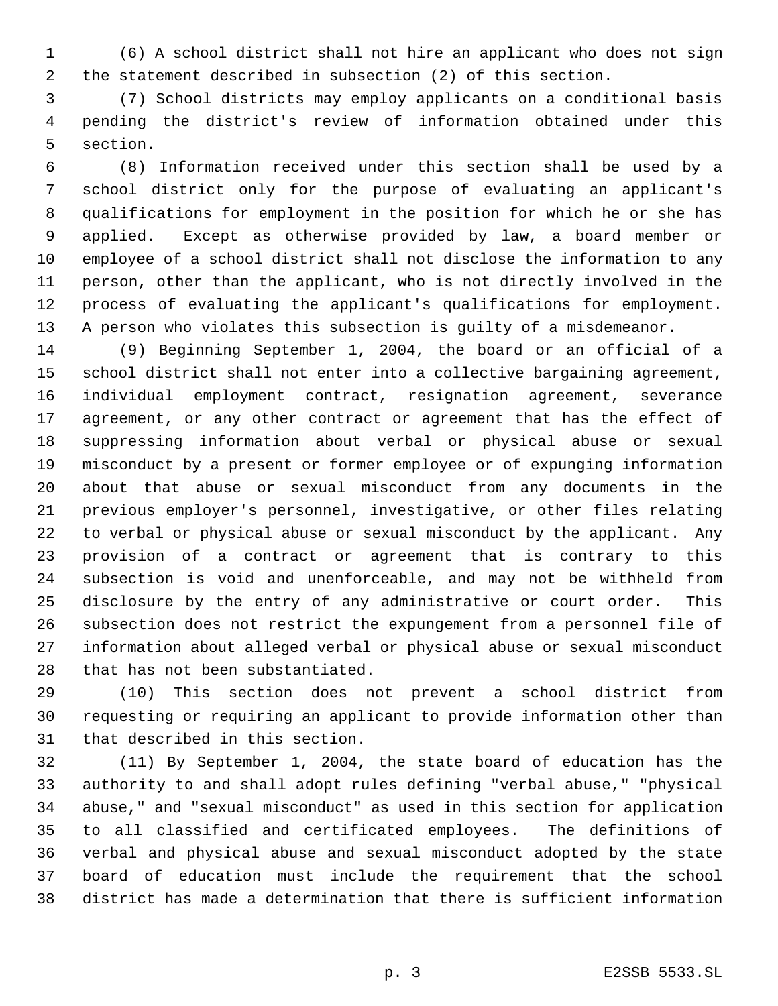(6) A school district shall not hire an applicant who does not sign the statement described in subsection (2) of this section.

 (7) School districts may employ applicants on a conditional basis pending the district's review of information obtained under this section.

 (8) Information received under this section shall be used by a school district only for the purpose of evaluating an applicant's qualifications for employment in the position for which he or she has applied. Except as otherwise provided by law, a board member or employee of a school district shall not disclose the information to any person, other than the applicant, who is not directly involved in the process of evaluating the applicant's qualifications for employment. A person who violates this subsection is guilty of a misdemeanor.

 (9) Beginning September 1, 2004, the board or an official of a school district shall not enter into a collective bargaining agreement, individual employment contract, resignation agreement, severance agreement, or any other contract or agreement that has the effect of suppressing information about verbal or physical abuse or sexual misconduct by a present or former employee or of expunging information about that abuse or sexual misconduct from any documents in the previous employer's personnel, investigative, or other files relating to verbal or physical abuse or sexual misconduct by the applicant. Any provision of a contract or agreement that is contrary to this subsection is void and unenforceable, and may not be withheld from disclosure by the entry of any administrative or court order. This subsection does not restrict the expungement from a personnel file of information about alleged verbal or physical abuse or sexual misconduct that has not been substantiated.

 (10) This section does not prevent a school district from requesting or requiring an applicant to provide information other than that described in this section.

 (11) By September 1, 2004, the state board of education has the authority to and shall adopt rules defining "verbal abuse," "physical abuse," and "sexual misconduct" as used in this section for application to all classified and certificated employees. The definitions of verbal and physical abuse and sexual misconduct adopted by the state board of education must include the requirement that the school district has made a determination that there is sufficient information